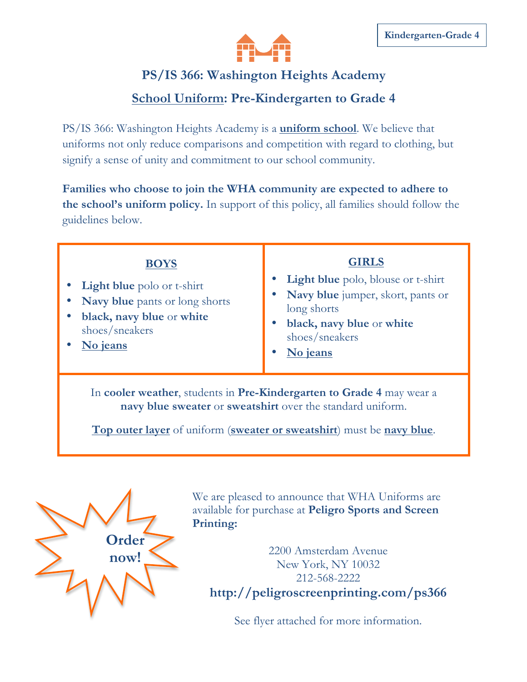

## **PS/IS 366: Washington Heights Academy**

## **School Uniform: Pre-Kindergarten to Grade 4**

PS/IS 366: Washington Heights Academy is a **uniform school**. We believe that uniforms not only reduce comparisons and competition with regard to clothing, but signify a sense of unity and commitment to our school community.

**Families who choose to join the WHA community are expected to adhere to the school's uniform policy.** In support of this policy, all families should follow the guidelines below.

| <b>BOYS</b><br><b>Light blue</b> polo or t-shirt<br>Navy blue pants or long shorts<br>black, navy blue or white<br>shoes/sneakers<br>No jeans                                                                | <b>GIRLS</b><br><b>Light blue</b> polo, blouse or t-shirt<br>• Navy blue jumper, skort, pants or<br>long shorts<br>black, navy blue or white<br>shoes/sneakers<br>No jeans |
|--------------------------------------------------------------------------------------------------------------------------------------------------------------------------------------------------------------|----------------------------------------------------------------------------------------------------------------------------------------------------------------------------|
| In cooler weather, students in Pre-Kindergarten to Grade 4 may wear a<br>navy blue sweater or sweatshirt over the standard uniform.<br>Top outer layer of uniform (sweater or sweatshirt) must be navy blue. |                                                                                                                                                                            |



We are pleased to announce that WHA Uniforms are available for purchase at **Peligro Sports and Screen Printing:** 

2200 Amsterdam Avenue New York, NY 10032 212-568-2222 **http://peligroscreenprinting.com/ps366**

See flyer attached for more information.